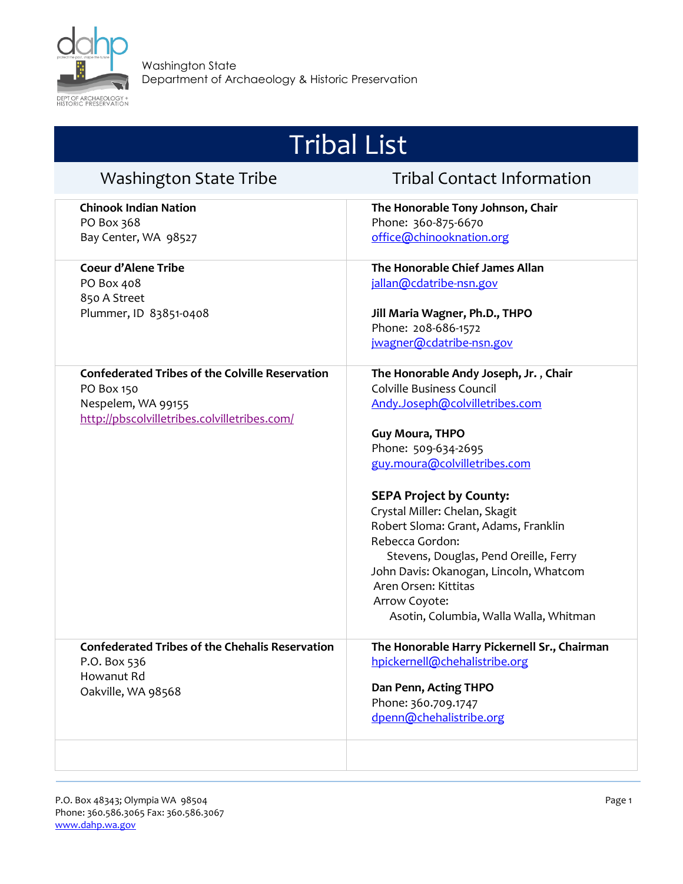

| <b>Washington State Tribe</b>                                                                                                              | <b>Tribal Contact Information</b>                                                                                                                                                                                                                                                                                                                                                                                                                                                          |
|--------------------------------------------------------------------------------------------------------------------------------------------|--------------------------------------------------------------------------------------------------------------------------------------------------------------------------------------------------------------------------------------------------------------------------------------------------------------------------------------------------------------------------------------------------------------------------------------------------------------------------------------------|
| <b>Chinook Indian Nation</b><br>PO Box 368<br>Bay Center, WA 98527                                                                         | The Honorable Tony Johnson, Chair<br>Phone: 360-875-6670<br>office@chinooknation.org                                                                                                                                                                                                                                                                                                                                                                                                       |
| <b>Coeur d'Alene Tribe</b><br>PO Box 408<br>850 A Street<br>Plummer, ID 83851-0408                                                         | The Honorable Chief James Allan<br>jallan@cdatribe-nsn.gov<br>Jill Maria Wagner, Ph.D., THPO<br>Phone: 208-686-1572<br>jwagner@cdatribe-nsn.gov                                                                                                                                                                                                                                                                                                                                            |
| <b>Confederated Tribes of the Colville Reservation</b><br>PO Box 150<br>Nespelem, WA 99155<br>http://pbscolvilletribes.colvilletribes.com/ | The Honorable Andy Joseph, Jr., Chair<br><b>Colville Business Council</b><br>Andy.Joseph@colvilletribes.com<br>Guy Moura, THPO<br>Phone: 509-634-2695<br>guy.moura@colvilletribes.com<br><b>SEPA Project by County:</b><br>Crystal Miller: Chelan, Skagit<br>Robert Sloma: Grant, Adams, Franklin<br>Rebecca Gordon:<br>Stevens, Douglas, Pend Oreille, Ferry<br>John Davis: Okanogan, Lincoln, Whatcom<br>Aren Orsen: Kittitas<br>Arrow Coyote:<br>Asotin, Columbia, Walla Walla, Whitman |
| <b>Confederated Tribes of the Chehalis Reservation</b><br>P.O. Box 536<br>Howanut Rd<br>Oakville, WA 98568                                 | The Honorable Harry Pickernell Sr., Chairman<br>hpickernell@chehalistribe.org<br>Dan Penn, Acting THPO<br>Phone: 360.709.1747<br>dpenn@chehalistribe.org                                                                                                                                                                                                                                                                                                                                   |
|                                                                                                                                            |                                                                                                                                                                                                                                                                                                                                                                                                                                                                                            |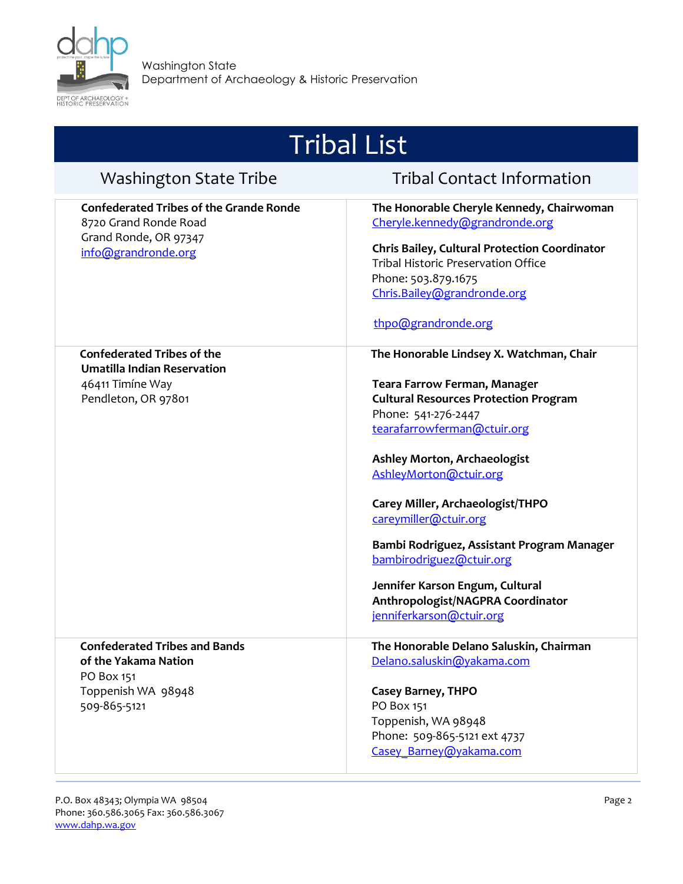

Washington State

Department of Archaeology & Historic Preservation

|                                                                                                                         | <b>Tribal List</b>                                                                                                                                                                                                                                                                                                                                                                                                                                                                                |
|-------------------------------------------------------------------------------------------------------------------------|---------------------------------------------------------------------------------------------------------------------------------------------------------------------------------------------------------------------------------------------------------------------------------------------------------------------------------------------------------------------------------------------------------------------------------------------------------------------------------------------------|
| <b>Washington State Tribe</b>                                                                                           | <b>Tribal Contact Information</b>                                                                                                                                                                                                                                                                                                                                                                                                                                                                 |
| <b>Confederated Tribes of the Grande Ronde</b><br>8720 Grand Ronde Road<br>Grand Ronde, OR 97347<br>info@grandronde.org | The Honorable Cheryle Kennedy, Chairwoman<br>Cheryle.kennedy@grandronde.org<br><b>Chris Bailey, Cultural Protection Coordinator</b><br>Tribal Historic Preservation Office<br>Phone: 503.879.1675<br>Chris.Bailey@grandronde.org<br>thpo@grandronde.org                                                                                                                                                                                                                                           |
| <b>Confederated Tribes of the</b><br><b>Umatilla Indian Reservation</b><br>46411 Timíne Way<br>Pendleton, OR 97801      | The Honorable Lindsey X. Watchman, Chair<br><b>Teara Farrow Ferman, Manager</b><br><b>Cultural Resources Protection Program</b><br>Phone: 541-276-2447<br>tearafarrowferman@ctuir.org<br><b>Ashley Morton, Archaeologist</b><br>AshleyMorton@ctuir.org<br>Carey Miller, Archaeologist/THPO<br>careymiller@ctuir.org<br>Bambi Rodriguez, Assistant Program Manager<br>bambirodriguez@ctuir.org<br>Jennifer Karson Engum, Cultural<br>Anthropologist/NAGPRA Coordinator<br>jenniferkarson@ctuir.org |
| <b>Confederated Tribes and Bands</b><br>of the Yakama Nation<br>PO Box 151<br>Toppenish WA 98948<br>509-865-5121        | The Honorable Delano Saluskin, Chairman<br>Delano.saluskin@yakama.com<br><b>Casey Barney, THPO</b><br>PO Box 151<br>Toppenish, WA 98948                                                                                                                                                                                                                                                                                                                                                           |

Phone: 509-865-5121 ext 4737 [Casey\\_Barney@yakama.com](mailto:Casey_Barney@yakama.com)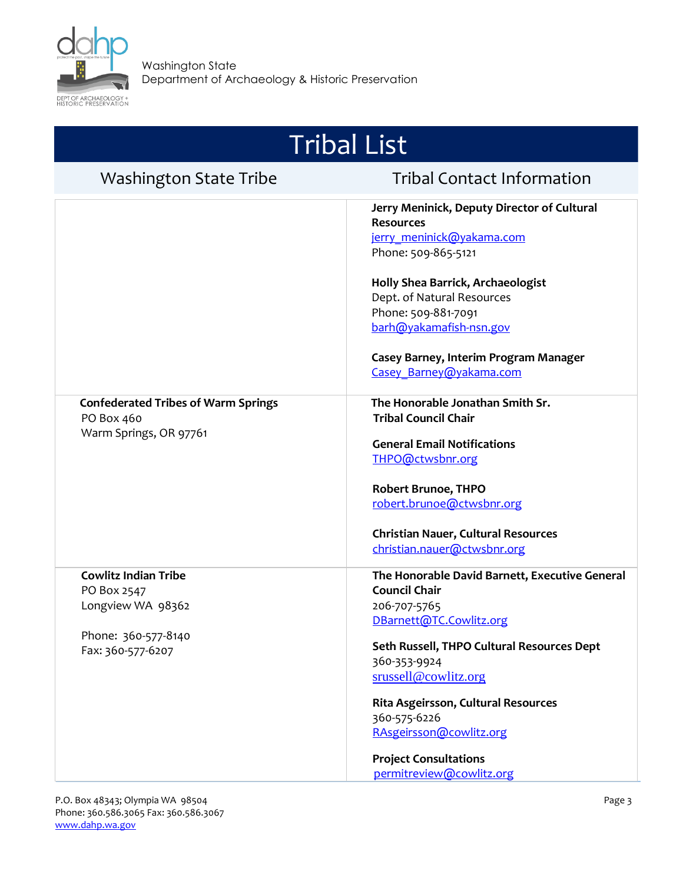

| <b>Washington State Tribe</b>                                                                               | <b>Tribal Contact Information</b>                                                                                                                                                                                                                                                                                                                     |
|-------------------------------------------------------------------------------------------------------------|-------------------------------------------------------------------------------------------------------------------------------------------------------------------------------------------------------------------------------------------------------------------------------------------------------------------------------------------------------|
|                                                                                                             | Jerry Meninick, Deputy Director of Cultural<br><b>Resources</b><br>jerry_meninick@yakama.com<br>Phone: 509-865-5121<br>Holly Shea Barrick, Archaeologist<br>Dept. of Natural Resources<br>Phone: 509-881-7091<br>barh@yakamafish-nsn.gov<br>Casey Barney, Interim Program Manager<br>Casey Barney@yakama.com                                          |
| <b>Confederated Tribes of Warm Springs</b><br>PO Box 460<br>Warm Springs, OR 97761                          | The Honorable Jonathan Smith Sr.<br><b>Tribal Council Chair</b><br><b>General Email Notifications</b><br>THPO@ctwsbnr.org<br><b>Robert Brunoe, THPO</b><br>robert.brunoe@ctwsbnr.org<br><b>Christian Nauer, Cultural Resources</b><br>christian.nauer@ctwsbnr.org                                                                                     |
| <b>Cowlitz Indian Tribe</b><br>PO Box 2547<br>Longview WA 98362<br>Phone: 360-577-8140<br>Fax: 360-577-6207 | The Honorable David Barnett, Executive General<br><b>Council Chair</b><br>206-707-5765<br>DBarnett@TC.Cowlitz.org<br>Seth Russell, THPO Cultural Resources Dept<br>360-353-9924<br>srussell@cowlitz.org<br>Rita Asgeirsson, Cultural Resources<br>360-575-6226<br>RAsgeirsson@cowlitz.org<br><b>Project Consultations</b><br>permitreview@cowlitz.org |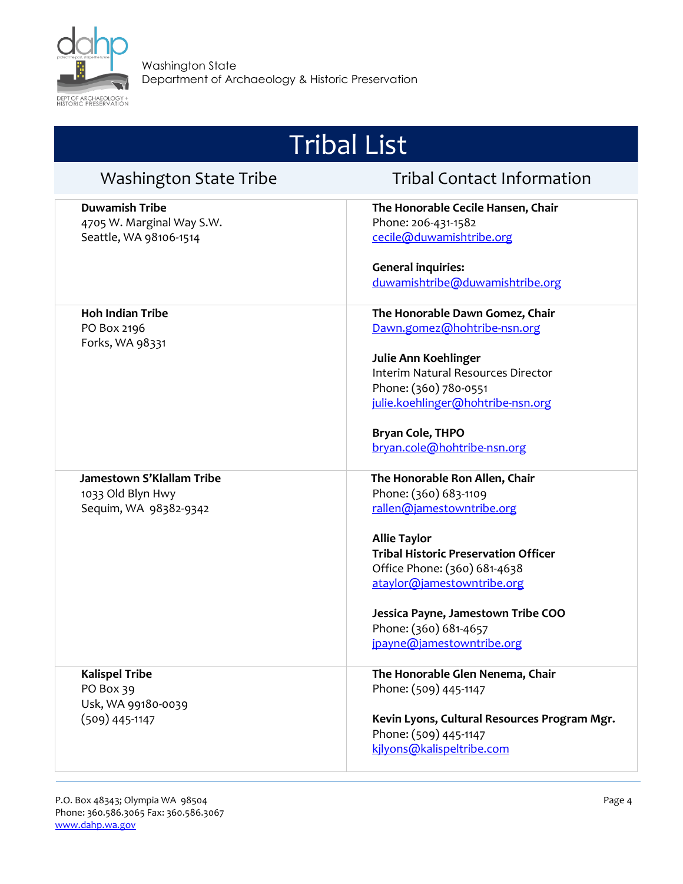

| <b>Washington State Tribe</b>                                                | <b>Tribal Contact Information</b>                                                                                                                                                                                                                                                                                    |
|------------------------------------------------------------------------------|----------------------------------------------------------------------------------------------------------------------------------------------------------------------------------------------------------------------------------------------------------------------------------------------------------------------|
| <b>Duwamish Tribe</b><br>4705 W. Marginal Way S.W.<br>Seattle, WA 98106-1514 | The Honorable Cecile Hansen, Chair<br>Phone: 206-431-1582<br>cecile@duwamishtribe.org                                                                                                                                                                                                                                |
|                                                                              | <b>General inquiries:</b><br>duwamishtribe@duwamishtribe.org                                                                                                                                                                                                                                                         |
| <b>Hoh Indian Tribe</b><br>PO Box 2196<br>Forks, WA 98331                    | The Honorable Dawn Gomez, Chair<br>Dawn.gomez@hohtribe-nsn.org<br>Julie Ann Koehlinger<br>Interim Natural Resources Director<br>Phone: (360) 780-0551                                                                                                                                                                |
|                                                                              | julie.koehlinger@hohtribe-nsn.org<br><b>Bryan Cole, THPO</b><br>bryan.cole@hohtribe-nsn.org                                                                                                                                                                                                                          |
| Jamestown S'Klallam Tribe<br>1033 Old Blyn Hwy<br>Sequim, WA 98382-9342      | The Honorable Ron Allen, Chair<br>Phone: (360) 683-1109<br>rallen@jamestowntribe.org<br><b>Allie Taylor</b><br><b>Tribal Historic Preservation Officer</b><br>Office Phone: (360) 681-4638<br>ataylor@jamestowntribe.org<br>Jessica Payne, Jamestown Tribe COO<br>Phone: (360) 681-4657<br>jpayne@jamestowntribe.org |
| <b>Kalispel Tribe</b><br>PO Box 39<br>Usk, WA 99180-0039<br>$(509)$ 445-1147 | The Honorable Glen Nenema, Chair<br>Phone: (509) 445-1147<br>Kevin Lyons, Cultural Resources Program Mgr.<br>Phone: (509) 445-1147<br>kjlyons@kalispeltribe.com                                                                                                                                                      |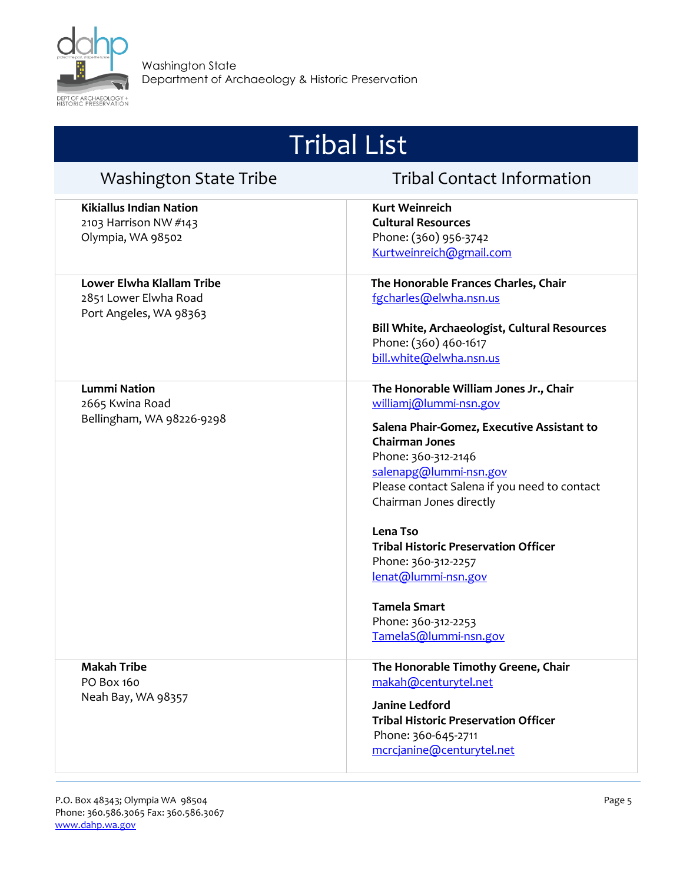

| <b>Washington State Tribe</b>                                                | <b>Tribal Contact Information</b>                                                                                                                                                                                                                                                                                                                                                                                                                   |
|------------------------------------------------------------------------------|-----------------------------------------------------------------------------------------------------------------------------------------------------------------------------------------------------------------------------------------------------------------------------------------------------------------------------------------------------------------------------------------------------------------------------------------------------|
| <b>Kikiallus Indian Nation</b><br>2103 Harrison NW #143<br>Olympia, WA 98502 | <b>Kurt Weinreich</b><br><b>Cultural Resources</b><br>Phone: (360) 956-3742<br>Kurtweinreich@gmail.com                                                                                                                                                                                                                                                                                                                                              |
| Lower Elwha Klallam Tribe<br>2851 Lower Elwha Road<br>Port Angeles, WA 98363 | The Honorable Frances Charles, Chair<br>fgcharles@elwha.nsn.us<br>Bill White, Archaeologist, Cultural Resources<br>Phone: (360) 460-1617<br>bill.white@elwha.nsn.us                                                                                                                                                                                                                                                                                 |
| <b>Lummi Nation</b><br>2665 Kwina Road<br>Bellingham, WA 98226-9298          | The Honorable William Jones Jr., Chair<br>williamj@lummi-nsn.gov<br>Salena Phair-Gomez, Executive Assistant to<br><b>Chairman Jones</b><br>Phone: 360-312-2146<br>salenapg@lummi-nsn.gov<br>Please contact Salena if you need to contact<br>Chairman Jones directly<br>Lena Tso<br><b>Tribal Historic Preservation Officer</b><br>Phone: 360-312-2257<br>lenat@lummi-nsn.gov<br><b>Tamela Smart</b><br>Phone: 360-312-2253<br>TamelaS@lummi-nsn.gov |
| <b>Makah Tribe</b><br>PO Box 160<br>Neah Bay, WA 98357                       | The Honorable Timothy Greene, Chair<br>makah@centurytel.net<br><b>Janine Ledford</b><br><b>Tribal Historic Preservation Officer</b><br>Phone: 360-645-2711<br>mcrcjanine@centurytel.net                                                                                                                                                                                                                                                             |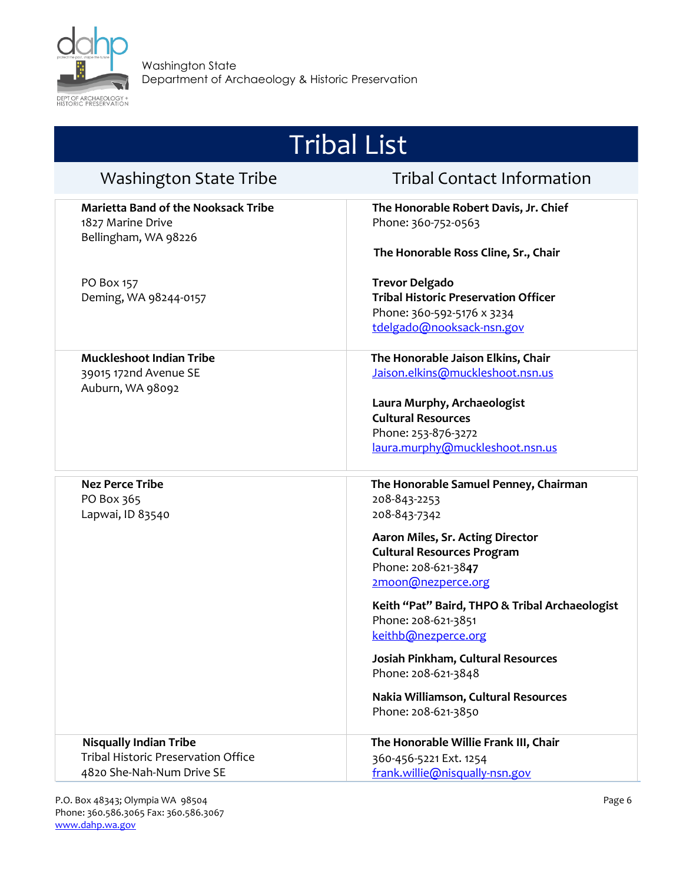

| <b>Tribal List</b>                                                                                |                                                                                                                                                                                                                                                                                                                                                                                                                         |
|---------------------------------------------------------------------------------------------------|-------------------------------------------------------------------------------------------------------------------------------------------------------------------------------------------------------------------------------------------------------------------------------------------------------------------------------------------------------------------------------------------------------------------------|
| <b>Washington State Tribe</b>                                                                     | <b>Tribal Contact Information</b>                                                                                                                                                                                                                                                                                                                                                                                       |
| <b>Marietta Band of the Nooksack Tribe</b><br>1827 Marine Drive<br>Bellingham, WA 98226           | The Honorable Robert Davis, Jr. Chief<br>Phone: 360-752-0563<br>The Honorable Ross Cline, Sr., Chair                                                                                                                                                                                                                                                                                                                    |
| PO Box 157<br>Deming, WA 98244-0157                                                               | <b>Trevor Delgado</b><br><b>Tribal Historic Preservation Officer</b><br>Phone: 360-592-5176 x 3234<br>tdelgado@nooksack-nsn.gov                                                                                                                                                                                                                                                                                         |
| <b>Muckleshoot Indian Tribe</b><br>39015 172nd Avenue SE<br>Auburn, WA 98092                      | The Honorable Jaison Elkins, Chair<br>Jaison.elkins@muckleshoot.nsn.us<br>Laura Murphy, Archaeologist<br><b>Cultural Resources</b><br>Phone: 253-876-3272<br>laura.murphy@muckleshoot.nsn.us                                                                                                                                                                                                                            |
| <b>Nez Perce Tribe</b><br>PO Box 365<br>Lapwai, ID 83540                                          | The Honorable Samuel Penney, Chairman<br>208-843-2253<br>208-843-7342<br>Aaron Miles, Sr. Acting Director<br><b>Cultural Resources Program</b><br>Phone: 208-621-3847<br>2moon@nezperce.org<br>Keith "Pat" Baird, THPO & Tribal Archaeologist<br>Phone: 208-621-3851<br>keithb@nezperce.org<br>Josiah Pinkham, Cultural Resources<br>Phone: 208-621-3848<br>Nakia Williamson, Cultural Resources<br>Phone: 208-621-3850 |
| <b>Nisqually Indian Tribe</b><br>Tribal Historic Preservation Office<br>4820 She-Nah-Num Drive SE | The Honorable Willie Frank III, Chair<br>360-456-5221 Ext. 1254<br>frank.willie@nisqually-nsn.gov                                                                                                                                                                                                                                                                                                                       |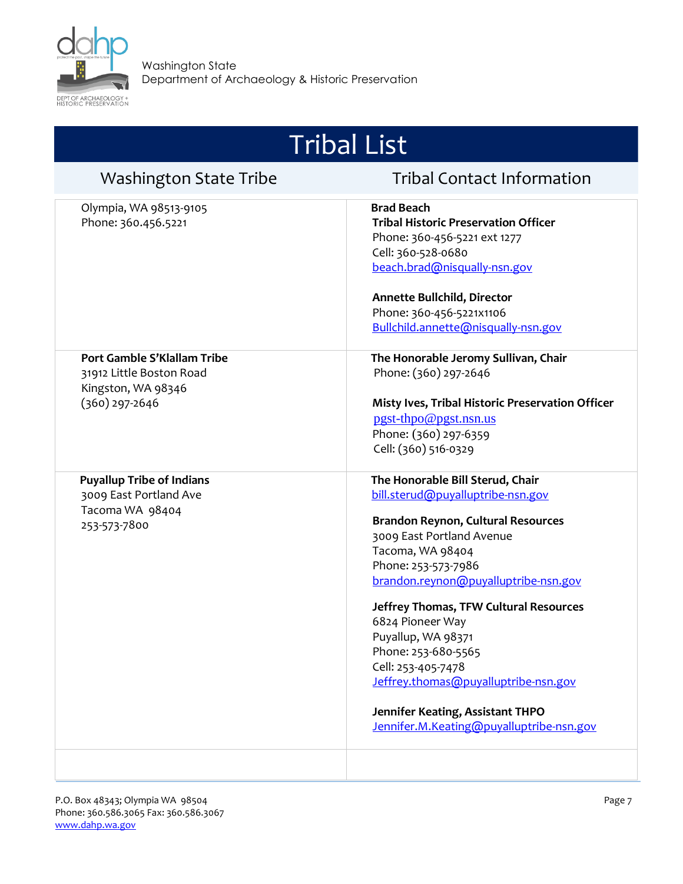

| <b>Washington State Tribe</b>                                                                     | <b>Tribal Contact Information</b>                                                                                                                                                                                                                                                                                                                                                                                                                                                           |
|---------------------------------------------------------------------------------------------------|---------------------------------------------------------------------------------------------------------------------------------------------------------------------------------------------------------------------------------------------------------------------------------------------------------------------------------------------------------------------------------------------------------------------------------------------------------------------------------------------|
| Olympia, WA 98513-9105<br>Phone: 360.456.5221                                                     | <b>Brad Beach</b><br><b>Tribal Historic Preservation Officer</b><br>Phone: 360-456-5221 ext 1277<br>Cell: 360-528-0680<br>beach.brad@nisqually-nsn.gov<br><b>Annette Bullchild, Director</b><br>Phone: 360-456-5221x1106<br>Bullchild.annette@nisqually-nsn.gov                                                                                                                                                                                                                             |
| Port Gamble S'Klallam Tribe<br>31912 Little Boston Road<br>Kingston, WA 98346<br>$(360)$ 297-2646 | The Honorable Jeromy Sullivan, Chair<br>Phone: (360) 297-2646<br>Misty Ives, Tribal Historic Preservation Officer<br>pgst-thpo@pgst.nsn.us<br>Phone: (360) 297-6359<br>Cell: (360) 516-0329                                                                                                                                                                                                                                                                                                 |
| <b>Puyallup Tribe of Indians</b><br>3009 East Portland Ave<br>Tacoma WA 98404<br>253-573-7800     | The Honorable Bill Sterud, Chair<br>bill.sterud@puyalluptribe-nsn.gov<br><b>Brandon Reynon, Cultural Resources</b><br>3009 East Portland Avenue<br>Tacoma, WA 98404<br>Phone: 253-573-7986<br>brandon.reynon@puyalluptribe-nsn.gov<br>Jeffrey Thomas, TFW Cultural Resources<br>6824 Pioneer Way<br>Puyallup, WA 98371<br>Phone: 253-680-5565<br>Cell: 253-405-7478<br>Jeffrey.thomas@puyalluptribe-nsn.gov<br>Jennifer Keating, Assistant THPO<br>Jennifer.M.Keating@puyalluptribe-nsn.gov |
|                                                                                                   |                                                                                                                                                                                                                                                                                                                                                                                                                                                                                             |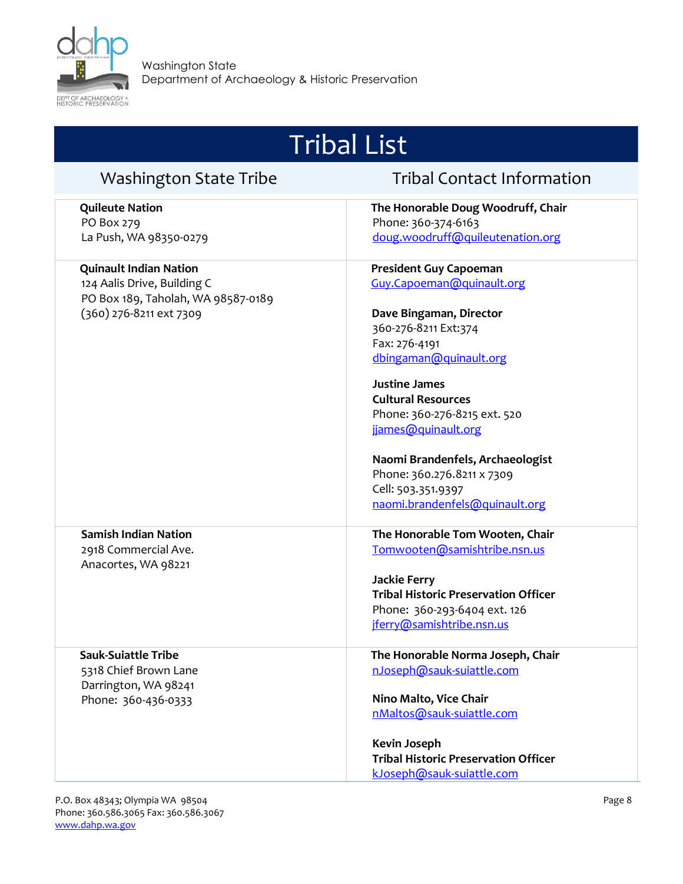

| <b>Washington State Tribe</b>                                     | <b>Tribal Contact Information</b>           |
|-------------------------------------------------------------------|---------------------------------------------|
| <b>Quileute Nation</b>                                            | The Honorable Doug Woodruff, Chair          |
| PO Box 279                                                        | Phone: 360-374-6163                         |
| La Push, WA 98350-0279                                            | doug.woodruff@quileutenation.org            |
| <b>Quinault Indian Nation</b>                                     | <b>President Guy Capoeman</b>               |
| 124 Aalis Drive, Building C<br>PO Box 189, Taholah, WA 98587-0189 | Guy.Capoeman@quinault.org                   |
| (360) 276-8211 ext 7309                                           | Dave Bingaman, Director                     |
|                                                                   | 360-276-8211 Ext:374                        |
|                                                                   | Fax: 276-4191                               |
|                                                                   | dbingaman@quinault.org                      |
|                                                                   | <b>Justine James</b>                        |
|                                                                   | <b>Cultural Resources</b>                   |
|                                                                   | Phone: 360-276-8215 ext. 520                |
|                                                                   | jjames@quinault.org                         |
|                                                                   | Naomi Brandenfels, Archaeologist            |
|                                                                   | Phone: 360.276.8211 x 7309                  |
|                                                                   | Cell: 503.351.9397                          |
|                                                                   | naomi.brandenfels@quinault.org              |
| <b>Samish Indian Nation</b>                                       | The Honorable Tom Wooten, Chair             |
| 2918 Commercial Ave.<br>Anacortes, WA 98221                       | Tomwooten@samishtribe.nsn.us                |
|                                                                   | <b>Jackie Ferry</b>                         |
|                                                                   | <b>Tribal Historic Preservation Officer</b> |
|                                                                   | Phone: 360-293-6404 ext. 126                |
|                                                                   | jferry@samishtribe.nsn.us                   |
| <b>Sauk-Suiattle Tribe</b>                                        | The Honorable Norma Joseph, Chair           |
| 5318 Chief Brown Lane                                             | nJoseph@sauk-suiattle.com                   |
| Darrington, WA 98241<br>Phone: 360-436-0333                       | Nino Malto, Vice Chair                      |
|                                                                   | nMaltos@sauk-suiattle.com                   |
|                                                                   |                                             |
|                                                                   | <b>Kevin Joseph</b>                         |
|                                                                   | <b>Tribal Historic Preservation Officer</b> |
|                                                                   | kJoseph@sauk-suiattle.com                   |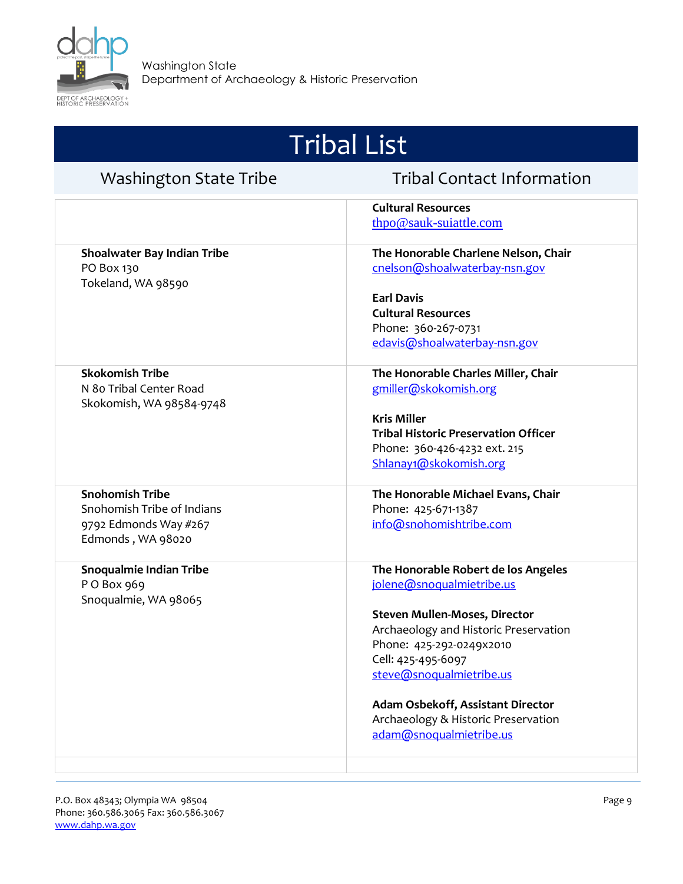

| <b>Tribal List</b>                                                                                 |                                                                                                                                                                                                                                                                                                                                        |  |
|----------------------------------------------------------------------------------------------------|----------------------------------------------------------------------------------------------------------------------------------------------------------------------------------------------------------------------------------------------------------------------------------------------------------------------------------------|--|
| <b>Washington State Tribe</b>                                                                      | <b>Tribal Contact Information</b>                                                                                                                                                                                                                                                                                                      |  |
|                                                                                                    | <b>Cultural Resources</b><br>thpo@sauk-suiattle.com                                                                                                                                                                                                                                                                                    |  |
| Shoalwater Bay Indian Tribe<br>PO Box 130<br>Tokeland, WA 98590                                    | The Honorable Charlene Nelson, Chair<br>cnelson@shoalwaterbay-nsn.gov<br><b>Earl Davis</b><br><b>Cultural Resources</b><br>Phone: 360-267-0731<br>edavis@shoalwaterbay-nsn.gov                                                                                                                                                         |  |
| <b>Skokomish Tribe</b><br>N 80 Tribal Center Road<br>Skokomish, WA 98584-9748                      | The Honorable Charles Miller, Chair<br>gmiller@skokomish.org<br><b>Kris Miller</b><br><b>Tribal Historic Preservation Officer</b><br>Phone: 360-426-4232 ext. 215<br>Shlanay1@skokomish.org                                                                                                                                            |  |
| <b>Snohomish Tribe</b><br>Snohomish Tribe of Indians<br>9792 Edmonds Way #267<br>Edmonds, WA 98020 | The Honorable Michael Evans, Chair<br>Phone: 425-671-1387<br>info@snohomishtribe.com                                                                                                                                                                                                                                                   |  |
| <b>Snoqualmie Indian Tribe</b><br>PO Box 969<br>Snoqualmie, WA 98065                               | The Honorable Robert de los Angeles<br>jolene@snoqualmietribe.us<br><b>Steven Mullen-Moses, Director</b><br>Archaeology and Historic Preservation<br>Phone: 425-292-0249x2010<br>Cell: 425-495-6097<br>steve@snoqualmietribe.us<br>Adam Osbekoff, Assistant Director<br>Archaeology & Historic Preservation<br>adam@snoqualmietribe.us |  |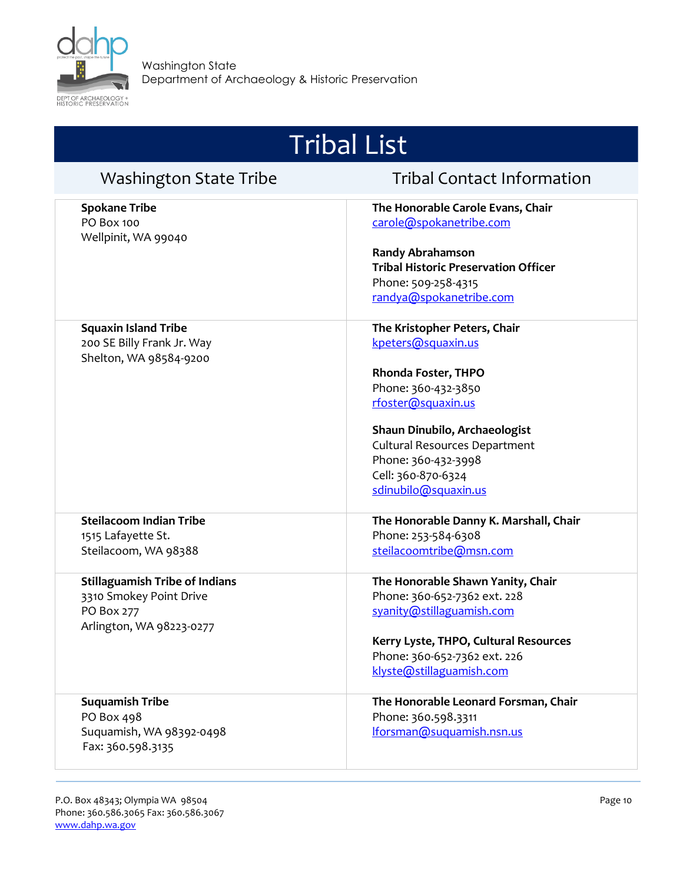

| <b>Washington State Tribe</b>                                                                              | <b>Tribal Contact Information</b>                                                                                                                                                                              |
|------------------------------------------------------------------------------------------------------------|----------------------------------------------------------------------------------------------------------------------------------------------------------------------------------------------------------------|
| <b>Spokane Tribe</b><br>PO Box 100<br>Wellpinit, WA 99040                                                  | The Honorable Carole Evans, Chair<br>carole@spokanetribe.com                                                                                                                                                   |
|                                                                                                            | <b>Randy Abrahamson</b><br><b>Tribal Historic Preservation Officer</b><br>Phone: 509-258-4315<br>randya@spokanetribe.com                                                                                       |
| <b>Squaxin Island Tribe</b><br>200 SE Billy Frank Jr. Way                                                  | The Kristopher Peters, Chair<br>kpeters@squaxin.us                                                                                                                                                             |
| Shelton, WA 98584-9200                                                                                     | Rhonda Foster, THPO<br>Phone: 360-432-3850<br>rfoster@squaxin.us<br>Shaun Dinubilo, Archaeologist<br><b>Cultural Resources Department</b><br>Phone: 360-432-3998<br>Cell: 360-870-6324<br>sdinubilo@squaxin.us |
| <b>Steilacoom Indian Tribe</b><br>1515 Lafayette St.<br>Steilacoom, WA 98388                               | The Honorable Danny K. Marshall, Chair<br>Phone: 253-584-6308<br>steilacoomtribe@msn.com                                                                                                                       |
| <b>Stillaguamish Tribe of Indians</b><br>3310 Smokey Point Drive<br>PO Box 277<br>Arlington, WA 98223-0277 | The Honorable Shawn Yanity, Chair<br>Phone: 360-652-7362 ext. 228<br>syanity@stillaguamish.com<br>Kerry Lyste, THPO, Cultural Resources<br>Phone: 360-652-7362 ext. 226<br>klyste@stillaguamish.com            |
| <b>Suquamish Tribe</b><br>PO Box 498<br>Suquamish, WA 98392-0498<br>Fax: 360.598.3135                      | The Honorable Leonard Forsman, Chair<br>Phone: 360.598.3311<br>Iforsman@suquamish.nsn.us                                                                                                                       |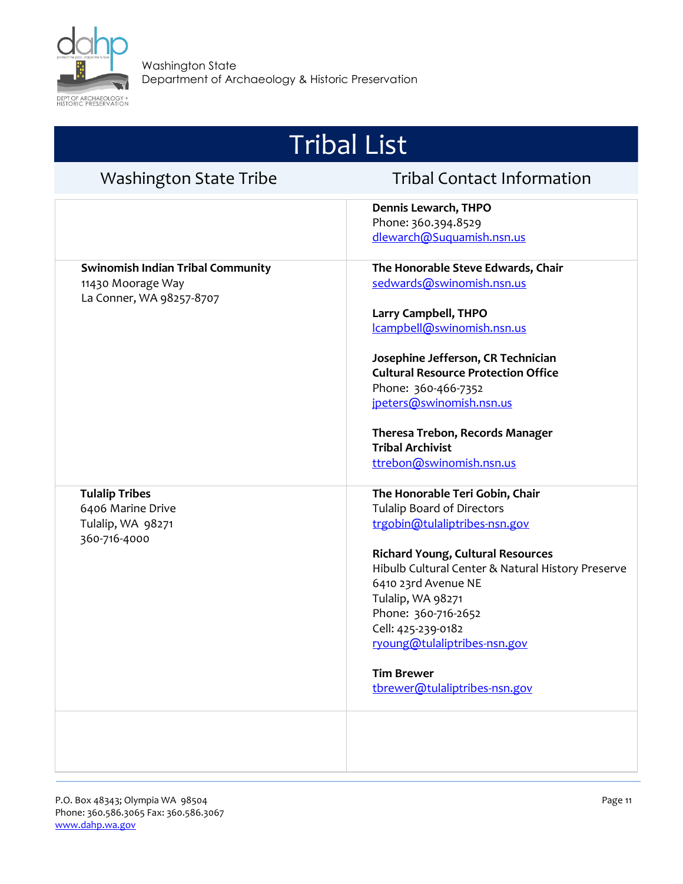

| <b>Tribal List</b>                                                                        |                                                                                                                                                                                                                        |  |
|-------------------------------------------------------------------------------------------|------------------------------------------------------------------------------------------------------------------------------------------------------------------------------------------------------------------------|--|
| <b>Washington State Tribe</b>                                                             | <b>Tribal Contact Information</b>                                                                                                                                                                                      |  |
|                                                                                           | Dennis Lewarch, THPO<br>Phone: 360.394.8529<br>dlewarch@Suquamish.nsn.us                                                                                                                                               |  |
| <b>Swinomish Indian Tribal Community</b><br>11430 Moorage Way<br>La Conner, WA 98257-8707 | The Honorable Steve Edwards, Chair<br>sedwards@swinomish.nsn.us                                                                                                                                                        |  |
|                                                                                           | Larry Campbell, THPO<br>Icampbell@swinomish.nsn.us                                                                                                                                                                     |  |
|                                                                                           | Josephine Jefferson, CR Technician<br><b>Cultural Resource Protection Office</b><br>Phone: 360-466-7352<br>jpeters@swinomish.nsn.us                                                                                    |  |
|                                                                                           | Theresa Trebon, Records Manager<br><b>Tribal Archivist</b><br>ttrebon@swinomish.nsn.us                                                                                                                                 |  |
| <b>Tulalip Tribes</b><br>6406 Marine Drive<br>Tulalip, WA 98271<br>360-716-4000           | The Honorable Teri Gobin, Chair<br><b>Tulalip Board of Directors</b><br>trgobin@tulaliptribes-nsn.gov                                                                                                                  |  |
|                                                                                           | <b>Richard Young, Cultural Resources</b><br>Hibulb Cultural Center & Natural History Preserve<br>6410 23rd Avenue NE<br>Tulalip, WA 98271<br>Phone: 360-716-2652<br>Cell: 425-239-0182<br>ryoung@tulaliptribes-nsn.gov |  |
|                                                                                           | <b>Tim Brewer</b><br>tbrewer@tulaliptribes-nsn.gov                                                                                                                                                                     |  |
|                                                                                           |                                                                                                                                                                                                                        |  |